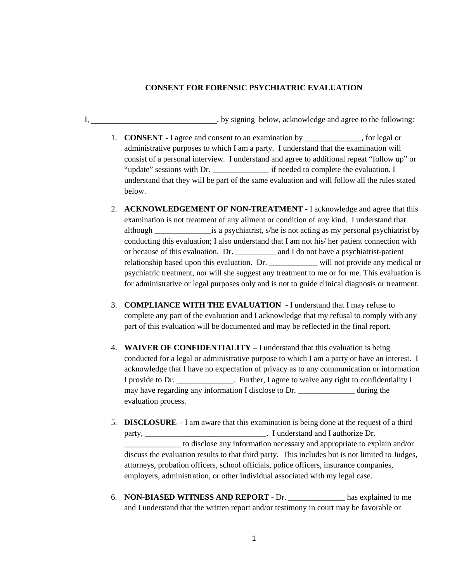## **CONSENT FOR FORENSIC PSYCHIATRIC EVALUATION**

I, by signing below, acknowledge and agree to the following:

- 1. **CONSENT -** I agree and consent to an examination by \_\_\_\_\_\_\_\_\_\_\_\_\_\_, for legal or administrative purposes to which I am a party. I understand that the examination will consist of a personal interview. I understand and agree to additional repeat "follow up" or "update" sessions with Dr. \_\_\_\_\_\_\_\_\_\_\_\_\_\_ if needed to complete the evaluation. I understand that they will be part of the same evaluation and will follow all the rules stated below.
- 2. **ACKNOWLEDGEMENT OF NON-TREATMENT -** I acknowledge and agree that this examination is not treatment of any ailment or condition of any kind. I understand that although \_\_\_\_\_\_\_\_\_\_\_\_\_\_is a psychiatrist, s/he is not acting as my personal psychiatrist by conducting this evaluation; I also understand that I am not his/ her patient connection with or because of this evaluation. Dr. \_\_\_\_\_\_\_\_\_\_ and I do not have a psychiatrist-patient relationship based upon this evaluation. Dr. \_\_\_\_\_\_\_\_\_\_\_\_ will not provide any medical or psychiatric treatment, nor will she suggest any treatment to me or for me. This evaluation is for administrative or legal purposes only and is not to guide clinical diagnosis or treatment.
- 3. **COMPLIANCE WITH THE EVALUATION -** I understand that I may refuse to complete any part of the evaluation and I acknowledge that my refusal to comply with any part of this evaluation will be documented and may be reflected in the final report.
- 4. **WAIVER OF CONFIDENTIALITY** I understand that this evaluation is being conducted for a legal or administrative purpose to which I am a party or have an interest. I acknowledge that I have no expectation of privacy as to any communication or information I provide to Dr. Further, I agree to waive any right to confidentiality I may have regarding any information I disclose to Dr. \_\_\_\_\_\_\_\_\_\_\_\_\_\_\_ during the evaluation process.
- 5. **DISCLOSURE**  I am aware that this examination is being done at the request of a third party, \_\_\_\_\_\_\_\_\_\_\_\_\_\_\_\_\_\_\_\_\_\_\_\_\_\_\_\_\_\_\_\_\_\_\_. I understand and I authorize Dr. \_\_\_\_\_\_\_\_\_\_\_\_\_\_ to disclose any information necessary and appropriate to explain and/or discuss the evaluation results to that third party. This includes but is not limited to Judges, attorneys, probation officers, school officials, police officers, insurance companies, employers, administration, or other individual associated with my legal case.
- 6. **NON-BIASED WITNESS AND REPORT** Dr. \_\_\_\_\_\_\_\_\_\_\_\_\_\_ has explained to me and I understand that the written report and/or testimony in court may be favorable or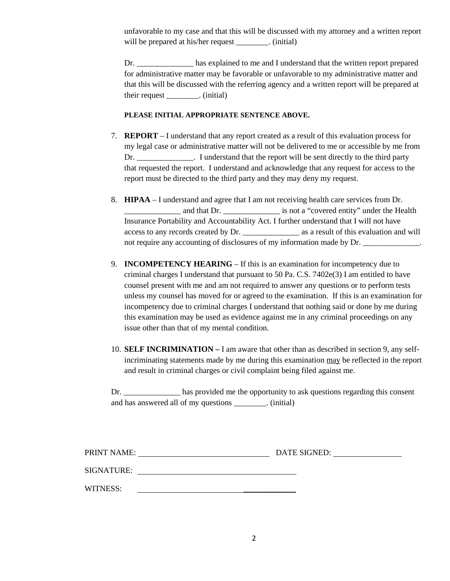unfavorable to my case and that this will be discussed with my attorney and a written report will be prepared at his/her request \_\_\_\_\_\_\_\_. (initial)

Dr. \_\_\_\_\_\_\_\_\_\_\_\_\_\_\_\_ has explained to me and I understand that the written report prepared for administrative matter may be favorable or unfavorable to my administrative matter and that this will be discussed with the referring agency and a written report will be prepared at their request \_\_\_\_\_\_\_\_. (initial)

## **PLEASE INITIAL APPROPRIATE SENTENCE ABOVE.**

- 7. **REPORT**  I understand that any report created as a result of this evaluation process for my legal case or administrative matter will not be delivered to me or accessible by me from Dr. \_\_\_\_\_\_\_\_\_\_\_\_\_\_. I understand that the report will be sent directly to the third party that requested the report. I understand and acknowledge that any request for access to the report must be directed to the third party and they may deny my request.
- 8. **HIPAA**  I understand and agree that I am not receiving health care services from Dr. \_\_\_\_\_\_\_\_\_\_\_\_\_\_ and that Dr. \_\_\_\_\_\_\_\_\_\_\_\_\_\_ is not a "covered entity" under the Health Insurance Portability and Accountability Act. I further understand that I will not have access to any records created by Dr. \_\_\_\_\_\_\_\_\_\_\_\_\_\_ as a result of this evaluation and will not require any accounting of disclosures of my information made by Dr.
- 9. **INCOMPETENCY HEARING** If this is an examination for incompetency due to criminal charges I understand that pursuant to 50 Pa. C.S. 7402e(3) I am entitled to have counsel present with me and am not required to answer any questions or to perform tests unless my counsel has moved for or agreed to the examination. If this is an examination for incompetency due to criminal charges I understand that nothing said or done by me during this examination may be used as evidence against me in any criminal proceedings on any issue other than that of my mental condition.
- 10. **SELF INCRIMINATION –** I am aware that other than as described in section 9, any selfincriminating statements made by me during this examination may be reflected in the report and result in criminal charges or civil complaint being filed against me.

Dr. has provided me the opportunity to ask questions regarding this consent and has answered all of my questions \_\_\_\_\_\_\_\_. (initial)

| PRINT NAME: | DATE SIGNED: |  |
|-------------|--------------|--|
|             |              |  |
| SIGNATURE:  |              |  |
|             |              |  |

WITNESS: